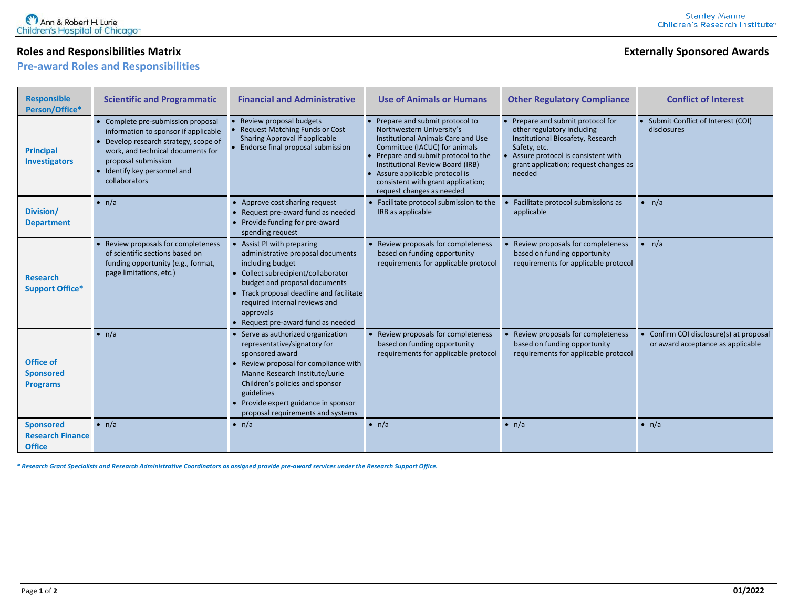## **Roles and Responsibilities Matrix <b>Externally Sponsored** Awards **Externally Sponsored** Awards

**Pre-award Roles and Responsibilities**

| <b>Responsible</b><br>Person/Office*                         | <b>Scientific and Programmatic</b>                                                                                                                                                                                             | <b>Financial and Administrative</b>                                                                                                                                                                                                                                                          | <b>Use of Animals or Humans</b>                                                                                                                                                                                                                                                                                      | <b>Other Regulatory Compliance</b>                                                                                                                                                                            | <b>Conflict of Interest</b>                                                |
|--------------------------------------------------------------|--------------------------------------------------------------------------------------------------------------------------------------------------------------------------------------------------------------------------------|----------------------------------------------------------------------------------------------------------------------------------------------------------------------------------------------------------------------------------------------------------------------------------------------|----------------------------------------------------------------------------------------------------------------------------------------------------------------------------------------------------------------------------------------------------------------------------------------------------------------------|---------------------------------------------------------------------------------------------------------------------------------------------------------------------------------------------------------------|----------------------------------------------------------------------------|
| <b>Principal</b><br><b>Investigators</b>                     | • Complete pre-submission proposal<br>information to sponsor if applicable<br>Develop research strategy, scope of<br>work, and technical documents for<br>proposal submission<br>• Identify key personnel and<br>collaborators | Review proposal budgets<br><b>Request Matching Funds or Cost</b><br>Sharing Approval if applicable<br><b>Endorse final proposal submission</b>                                                                                                                                               | • Prepare and submit protocol to<br>Northwestern University's<br>Institutional Animals Care and Use<br>Committee (IACUC) for animals<br>• Prepare and submit protocol to the<br>Institutional Review Board (IRB)<br>Assure applicable protocol is<br>consistent with grant application;<br>request changes as needed | • Prepare and submit protocol for<br>other regulatory including<br>Institutional Biosafety, Research<br>Safety, etc.<br>Assure protocol is consistent with<br>grant application; request changes as<br>needed | • Submit Conflict of Interest (COI)<br>disclosures                         |
| Division/<br><b>Department</b>                               | $\bullet$ n/a                                                                                                                                                                                                                  | • Approve cost sharing request<br>• Request pre-award fund as needed<br>• Provide funding for pre-award<br>spending request                                                                                                                                                                  | • Facilitate protocol submission to the<br>IRB as applicable                                                                                                                                                                                                                                                         | Facilitate protocol submissions as<br>applicable                                                                                                                                                              | $\bullet$ n/a                                                              |
| <b>Research</b><br><b>Support Office*</b>                    | • Review proposals for completeness<br>of scientific sections based on<br>funding opportunity (e.g., format,<br>page limitations, etc.)                                                                                        | • Assist PI with preparing<br>administrative proposal documents<br>including budget<br>• Collect subrecipient/collaborator<br>budget and proposal documents<br>• Track proposal deadline and facilitate<br>required internal reviews and<br>approvals<br>• Request pre-award fund as needed  | • Review proposals for completeness<br>based on funding opportunity<br>requirements for applicable protocol                                                                                                                                                                                                          | Review proposals for completeness<br>based on funding opportunity<br>requirements for applicable protocol                                                                                                     | $\bullet$ n/a                                                              |
| <b>Office of</b><br><b>Sponsored</b><br><b>Programs</b>      | $\bullet$ n/a                                                                                                                                                                                                                  | Serve as authorized organization<br>representative/signatory for<br>sponsored award<br>• Review proposal for compliance with<br>Manne Research Institute/Lurie<br>Children's policies and sponsor<br>guidelines<br>• Provide expert guidance in sponsor<br>proposal requirements and systems | • Review proposals for completeness<br>based on funding opportunity<br>requirements for applicable protocol                                                                                                                                                                                                          | Review proposals for completeness<br>based on funding opportunity<br>requirements for applicable protocol                                                                                                     | Confirm COI disclosure(s) at proposal<br>or award acceptance as applicable |
| <b>Sponsored</b><br><b>Research Finance</b><br><b>Office</b> | $\bullet$ n/a                                                                                                                                                                                                                  | $\bullet$ n/a                                                                                                                                                                                                                                                                                | $\bullet$ n/a                                                                                                                                                                                                                                                                                                        | $\bullet$ n/a                                                                                                                                                                                                 | $\bullet$ n/a                                                              |

*\* Research Grant Specialists and Research Administrative Coordinators as assigned provide pre-award services under the Research Support Office.*